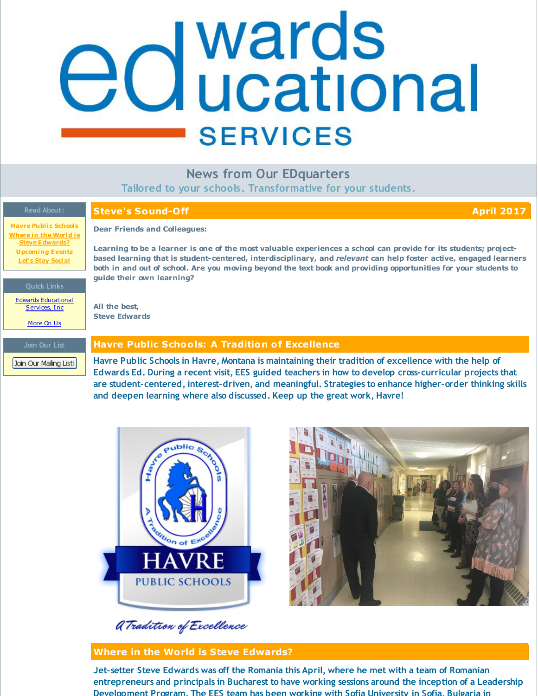## <span id="page-0-0"></span>edwards **SERVICES**

## **News from Our EDquarters**

**Tailored to your schools. Transformative for your students.**

### **Read About:**

### **Steve's Sound-Off April 2017**

**Havre Public [Schools](#page-0-0) Where in the World is Steve [Edwards?](#page-0-0) [Upcoming](#page-0-0) Events Let's Stay [Social](#page-0-0)**

Edwards [Educational](http://www.edwardsedservices.com/) Services, Inc.

[More](http://www.edwardsedservices.com/about/) On Us

**Join Our List** Join Our Mailing List!

## **Dear Friends and Colleagues:**

Learning to be a learner is one of the most valuable experiences a school can provide for its students; project**based learning that is student-centered, interdisciplinary, and** *relevant* **can help foster active, engaged learners** both in and out of school. Are you moving beyond the text book and providing opportunities for your students to **guide their own learning?**

**All the best, Steve Edwards**

### **Havre Public Schools: A Tradition of Excellence**

**Havre Public Schools in Havre, Montana is maintaining their tradition of excellence with the help of Edwards Ed. During a recent visit, EES guided teachers in how to develop cross-curricular projects that are student-centered, interest-driven, and meaningful. Strategies to enhance higher-order thinking skills and deepen learning where also discussed. Keep up the great work, Havre!**





## **Where in the World is Steve Edwards?**

**Jet-setter Steve Edwards was off the Romania this April, where he met with a team of Romanian entrepreneurs and principals in Bucharest to have working sessions around the inception of a Leadership Development Program. The EES team has been working with Sofia University in Sofia, Bulgaria in**

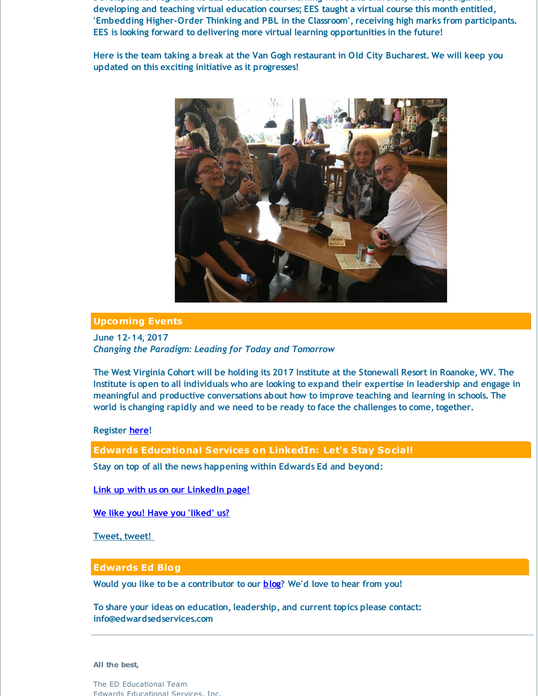**Development Program. The EES team has been working with Sofia University in Sofia, Bulgaria in developing and teaching virtual education courses; EES taught a virtual course this month entitled, 'Embedding Higher-Order Thinking and PBL in the Classroom', receiving high marks from participants. EES is looking forward to delivering more virtual learning opportunities in the future!**

Here is the team taking a break at the Van Gogh restaurant in Old City Bucharest. We will keep you **updated on this exciting initiative as it progresses!**



### **Upcoming Events**

**June 12-14, 2017** *Changing the Paradigm: Leading for Today and Tomorrow*

The West Virginia Cohort will be holding its 2017 Institute at the Stonewall Resort in Roanoke, WV. The Institute is open to all individuals who are looking to expand their expertise in leadership and engage in **meaningful and productive conversations about how to improve teaching and learning in schools. The world is changing rapidly and we need to be ready to face the challenges to come, together.**

### **Register [here](https://media.wix.com/ugd/5afa51_db18e4d0d638416798d8f57d2fdf0915.pdf)!**

**Edwards Educational Services on LinkedIn: Let's Stay Social!**

**Stay on top of all the news happening within Edwards Ed and beyond:**

**Link up with us on our [LinkedIn](http://www.linkedin.com/company/3213556?trk=NUS_DIG_CMPY-fol) page!**

**We like you! Have you ['liked'](https://www.facebook.com/edwardsEDservices) us?**

**[Tweet,](http://twitter.com/#!/EDwardsEDserv) tweet!**

### **Edwards Ed Blog**

**Would you like to be a contributor to our [blog](http://www.edwardsedservices.com/blog/)? We'd love to hear from you!**

**To share your ideas on education, leadership, and current topics please contact: info@edwardsedservices.com**

**All the best,**

The ED Educational Team Edwards Educational Services, Inc.